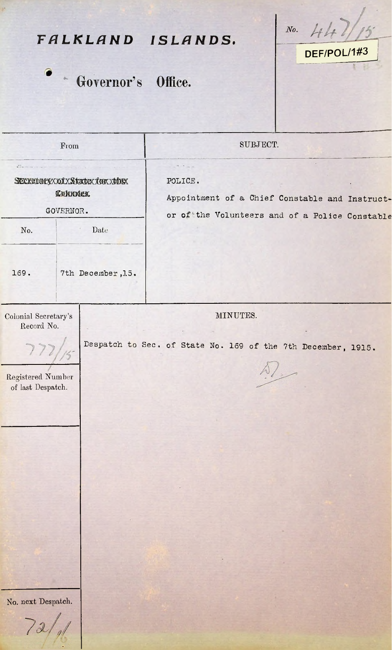| $\bullet$                                                                      |      |                                                              | FALKLAND ISLANDS.                                                                                           | HH<br>$N_o$ .<br>DEF/POL/1#3 |  |
|--------------------------------------------------------------------------------|------|--------------------------------------------------------------|-------------------------------------------------------------------------------------------------------------|------------------------------|--|
|                                                                                |      | * Governor's Office.                                         |                                                                                                             |                              |  |
| From                                                                           |      |                                                              | SUBJECT.                                                                                                    |                              |  |
| Sexuatery x of x Statex for x the<br><b><i><u>Лакимек</u></i></b><br>GOVERNOR. |      |                                                              | POLICE.<br>Appointment of a Chief Constable and Instruct-<br>or of the Volunteers and of a Police Constable |                              |  |
| No.                                                                            | Date |                                                              |                                                                                                             |                              |  |
| 169.                                                                           |      | 7th December, 15.                                            |                                                                                                             |                              |  |
| Colonial Secretary's<br>Record No.                                             |      |                                                              | MINUTES.                                                                                                    |                              |  |
| 77                                                                             |      | Despatch to Sec. of State No. 169 of the 7th December, 1915. |                                                                                                             |                              |  |
| Registered Number<br>of last Despatch.                                         |      | $\mathcal{D}/$                                               |                                                                                                             |                              |  |
|                                                                                |      |                                                              |                                                                                                             |                              |  |
|                                                                                |      |                                                              |                                                                                                             |                              |  |
|                                                                                |      |                                                              |                                                                                                             |                              |  |
|                                                                                |      |                                                              |                                                                                                             |                              |  |
|                                                                                |      |                                                              |                                                                                                             |                              |  |
|                                                                                |      |                                                              |                                                                                                             |                              |  |
|                                                                                |      |                                                              |                                                                                                             |                              |  |
| No. next Despatch.                                                             |      |                                                              |                                                                                                             |                              |  |
|                                                                                |      |                                                              |                                                                                                             |                              |  |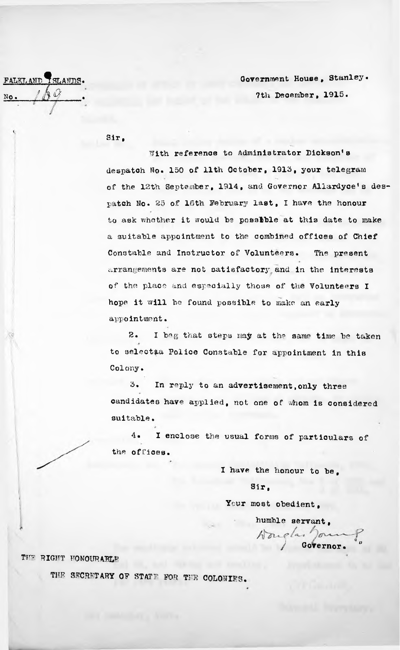FALKL AND TSLANDS. *tkq*. .

Government House, Stanley. 7th December, 1915.

Sir,

With reference to Administrator Dickson's despatch No. 150 of 11th October, 1915, your telegram of the 12th September, 1914, and Governor Allardyce's despatch No. 25 of 16th February last, I have the honour to ask whether it would be possible at this date to make a suitable appointment to the combined offices of Chief Constable and Instructor of Volunteers. The present arrangements are not satisfactory, and in the interests hope it will be found possible to make an early appointment. 7/ ' of the place and especially those of the Volunteers I

2. <sup>I</sup> beg that steps may at the same time be taken to selectaa Police Constable for appointment in this Colony.

3. In reply to an advertisement.only three candidates have applied, not one of whom is considered suitable.

4. I enclose the usual forms of particulars of the offices.

<sup>I</sup> have the honour to be,

Sir,

Your most obedient.

*) /* Governor.  $\int_a^b$ humble servant*,*

THE RIGHT HONOURABLE

THE SECRETARY OF STATE FOR THE COLONIES.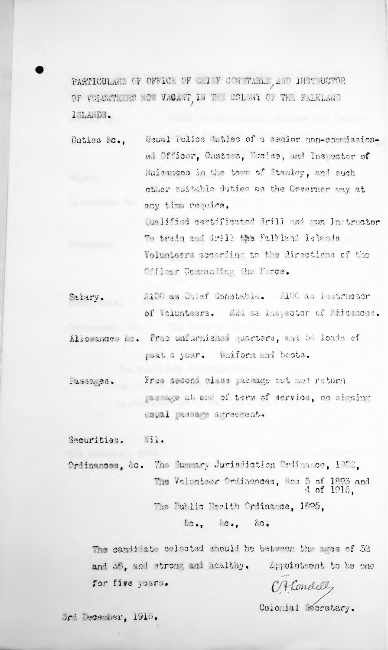PARTICULES OF OFFICE OF ULL F CONSTREEL, AND INSTRUCTOR OF VOLERTAKES NOT VECANT IN THE COLONY OF THE FELKLAND ISLANDS.

Usual Police duties of a senior non-commission-Duties Ac., ed Officar, Customs, Excice, and Inspector of Huisances in the town of Stanley, and such cther suitable duties as the Covernor may at any time require. Ogalified certificated drill and nun Instructor To train and drill the Falkland Islands Volunteers according to the directions of the Officer Commaning the Force.

2100 as Chief Constructs. 100 as instructor Salary. of Volunteers. Add as Inspector of Maismoon.

Aliceanose Le. Free unfurnished parters, and as loads of poat a year. Uniform and bests.

Free second class passage aut and return 13832.25. passage at onl of term of service, on signing caual passage screenent.

Securities. Mil.

Ordinances, ac. The Summary Jurisdiction Ordinance, 1902. The Volunteer Ordinaces, Nos 5 of 1803 and<br>4 of 1915, The Fublic Health Oriinance, 1895,

 $\omega_{\bullet}$ ,  $\omega_{\bullet}$ ,  $\omega_{\bullet}$ 

The candidate scleeted mould be between the swes of 32 ard 35, and strong and healthy. Spicintent to be one for five years.

C. Hondelly

Colomial Moretary.

Url Teoemasr, 1910.